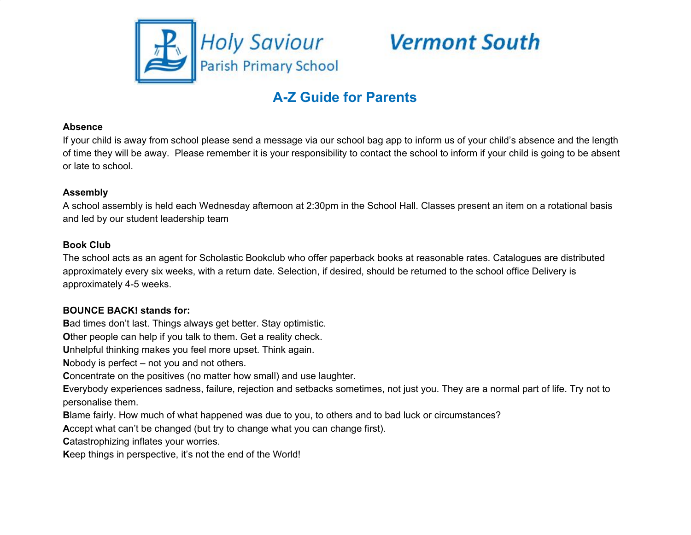



# **A-Z Guide for Parents**

#### **Absence**

If your child is away from school please send a message via our school bag app to inform us of your child's absence and the length of time they will be away. Please remember it is your responsibility to contact the school to inform if your child is going to be absent or late to school.

### **Assembly**

A school assembly is held each Wednesday afternoon at 2:30pm in the School Hall. Classes present an item on a rotational basis and led by our student leadership team

## **Book Club**

The school acts as an agent for Scholastic Bookclub who offer paperback books at reasonable rates. Catalogues are distributed approximately every six weeks, with a return date. Selection, if desired, should be returned to the school office Delivery is approximately 4-5 weeks.

## **BOUNCE BACK! stands for:**

**B**ad times don't last. Things always get better. Stay optimistic.

**Other people can help if you talk to them. Get a reality check.** 

**U**nhelpful thinking makes you feel more upset. Think again.

**N**obody is perfect – not you and not others.

**C**oncentrate on the positives (no matter how small) and use laughter.

**E**verybody experiences sadness, failure, rejection and setbacks sometimes, not just you. They are a normal part of life. Try not to personalise them.

**B**lame fairly. How much of what happened was due to you, to others and to bad luck or circumstances?

**A**ccept what can't be changed (but try to change what you can change first).

**C**atastrophizing inflates your worries.

**K**eep things in perspective, it's not the end of the World!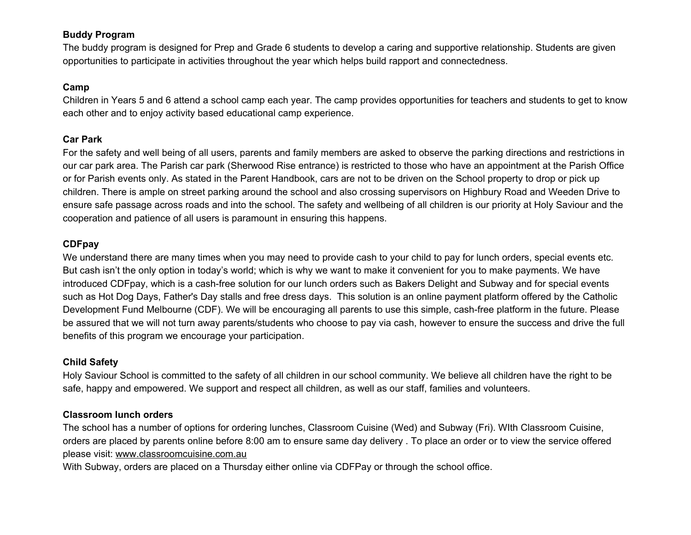# **Buddy Program**

The buddy program is designed for Prep and Grade 6 students to develop a caring and supportive relationship. Students are given opportunities to participate in activities throughout the year which helps build rapport and connectedness.

## **Camp**

Children in Years 5 and 6 attend a school camp each year. The camp provides opportunities for teachers and students to get to know each other and to enjoy activity based educational camp experience.

## **Car Park**

For the safety and well being of all users, parents and family members are asked to observe the parking directions and restrictions in our car park area. The Parish car park (Sherwood Rise entrance) is restricted to those who have an appointment at the Parish Office or for Parish events only. As stated in the Parent Handbook, cars are not to be driven on the School property to drop or pick up children. There is ample on street parking around the school and also crossing supervisors on Highbury Road and Weeden Drive to ensure safe passage across roads and into the school. The safety and wellbeing of all children is our priority at Holy Saviour and the cooperation and patience of all users is paramount in ensuring this happens.

## **CDFpay**

We understand there are many times when you may need to provide cash to your child to pay for lunch orders, special events etc. But cash isn't the only option in today's world; which is why we want to make it convenient for you to make payments. We have introduced CDFpay, which is a cash-free solution for our lunch orders such as Bakers Delight and Subway and for special events such as Hot Dog Days, Father's Day stalls and free dress days. This solution is an online payment platform offered by the Catholic Development Fund Melbourne (CDF). We will be encouraging all parents to use this simple, cash-free platform in the future. Please be assured that we will not turn away parents/students who choose to pay via cash, however to ensure the success and drive the full benefits of this program we encourage your participation.

### **Child Safety**

Holy Saviour School is committed to the safety of all children in our school community. We believe all children have the right to be safe, happy and empowered. We support and respect all children, as well as our staff, families and volunteers.

### **Classroom lunch orders**

The school has a number of options for ordering lunches, Classroom Cuisine (Wed) and Subway (Fri). WIth Classroom Cuisine, orders are placed by parents online before 8:00 am to ensure same day delivery . To place an order or to view the service offered please visit: [www.classroomcuisine.com.au](http://www.classroomcuisine.com.au/)

With Subway, orders are placed on a Thursday either online via CDFPay or through the school office.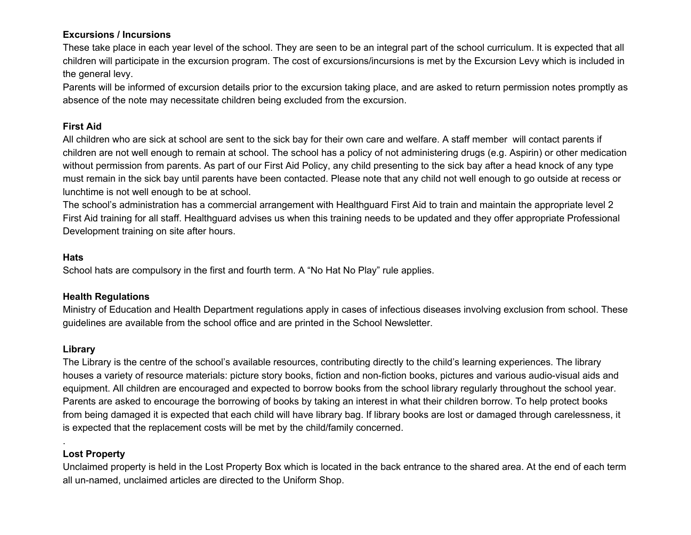## **Excursions / Incursions**

These take place in each year level of the school. They are seen to be an integral part of the school curriculum. It is expected that all children will participate in the excursion program. The cost of excursions/incursions is met by the Excursion Levy which is included in the general levy.

Parents will be informed of excursion details prior to the excursion taking place, and are asked to return permission notes promptly as absence of the note may necessitate children being excluded from the excursion.

## **First Aid**

All children who are sick at school are sent to the sick bay for their own care and welfare. A staff member will contact parents if children are not well enough to remain at school. The school has a policy of not administering drugs (e.g. Aspirin) or other medication without permission from parents. As part of our First Aid Policy, any child presenting to the sick bay after a head knock of any type must remain in the sick bay until parents have been contacted. Please note that any child not well enough to go outside at recess or lunchtime is not well enough to be at school.

The school's administration has a commercial arrangement with Healthguard First Aid to train and maintain the appropriate level 2 First Aid training for all staff. Healthguard advises us when this training needs to be updated and they offer appropriate Professional Development training on site after hours.

#### **Hats**

School hats are compulsory in the first and fourth term. A "No Hat No Play" rule applies.

### **Health Regulations**

Ministry of Education and Health Department regulations apply in cases of infectious diseases involving exclusion from school. These guidelines are available from the school office and are printed in the School Newsletter.

### **Library**

The Library is the centre of the school's available resources, contributing directly to the child's learning experiences. The library houses a variety of resource materials: picture story books, fiction and non-fiction books, pictures and various audio-visual aids and equipment. All children are encouraged and expected to borrow books from the school library regularly throughout the school year. Parents are asked to encourage the borrowing of books by taking an interest in what their children borrow. To help protect books from being damaged it is expected that each child will have library bag. If library books are lost or damaged through carelessness, it is expected that the replacement costs will be met by the child/family concerned.

## **Lost Property**

.

Unclaimed property is held in the Lost Property Box which is located in the back entrance to the shared area. At the end of each term all un-named, unclaimed articles are directed to the Uniform Shop.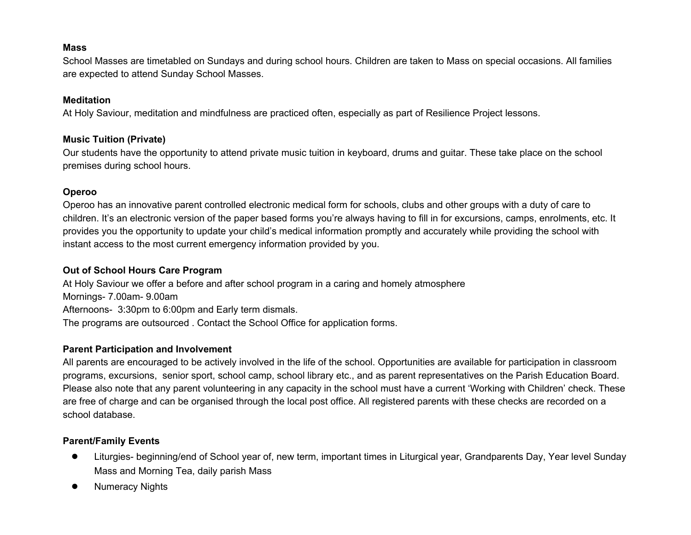### **Mass**

School Masses are timetabled on Sundays and during school hours. Children are taken to Mass on special occasions. All families are expected to attend Sunday School Masses.

#### **Meditation**

At Holy Saviour, meditation and mindfulness are practiced often, especially as part of Resilience Project lessons.

#### **Music Tuition (Private)**

Our students have the opportunity to attend private music tuition in keyboard, drums and guitar. These take place on the school premises during school hours.

### **Operoo**

Operoo has an innovative parent controlled electronic medical form for schools, clubs and other groups with a duty of care to children. It's an electronic version of the paper based forms you're always having to fill in for excursions, camps, enrolments, etc. It provides you the opportunity to update your child's medical information promptly and accurately while providing the school with instant access to the most current emergency information provided by you.

### **Out of School Hours Care Program**

At Holy Saviour we offer a before and after school program in a caring and homely atmosphere Mornings- 7.00am- 9.00am Afternoons- 3:30pm to 6:00pm and Early term dismals. The programs are outsourced . Contact the School Office for application forms.

### **Parent Participation and Involvement**

All parents are encouraged to be actively involved in the life of the school. Opportunities are available for participation in classroom programs, excursions, senior sport, school camp, school library etc., and as parent representatives on the Parish Education Board. Please also note that any parent volunteering in any capacity in the school must have a current 'Working with Children' check. These are free of charge and can be organised through the local post office. All registered parents with these checks are recorded on a school database.

### **Parent/Family Events**

- Liturgies- beginning/end of School year of, new term, important times in Liturgical year, Grandparents Day, Year level Sunday Mass and Morning Tea, daily parish Mass
- **Numeracy Nights**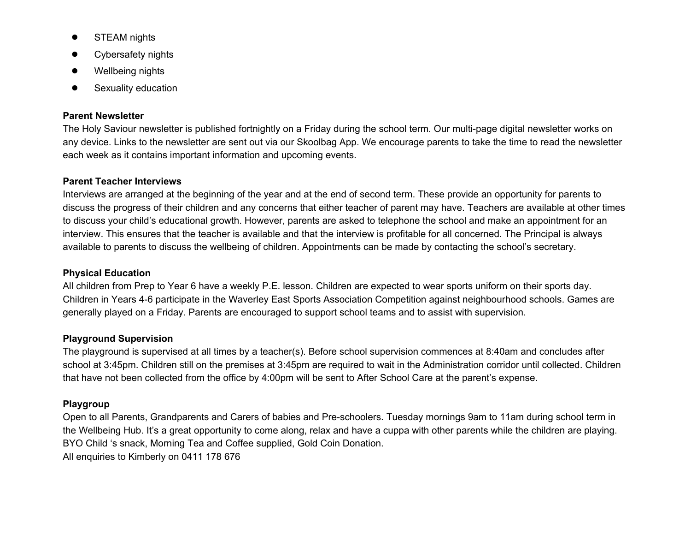- **STEAM nights**
- Cybersafety nights
- Wellbeing nights
- Sexuality education

# **Parent Newsletter**

The Holy Saviour newsletter is published fortnightly on a Friday during the school term. Our multi-page digital newsletter works on any device. Links to the newsletter are sent out via our Skoolbag App. We encourage parents to take the time to read the newsletter each week as it contains important information and upcoming events.

# **Parent Teacher Interviews**

Interviews are arranged at the beginning of the year and at the end of second term. These provide an opportunity for parents to discuss the progress of their children and any concerns that either teacher of parent may have. Teachers are available at other times to discuss your child's educational growth. However, parents are asked to telephone the school and make an appointment for an interview. This ensures that the teacher is available and that the interview is profitable for all concerned. The Principal is always available to parents to discuss the wellbeing of children. Appointments can be made by contacting the school's secretary.

## **Physical Education**

All children from Prep to Year 6 have a weekly P.E. lesson. Children are expected to wear sports uniform on their sports day. Children in Years 4-6 participate in the Waverley East Sports Association Competition against neighbourhood schools. Games are generally played on a Friday. Parents are encouraged to support school teams and to assist with supervision.

## **Playground Supervision**

The playground is supervised at all times by a teacher(s). Before school supervision commences at 8:40am and concludes after school at 3:45pm. Children still on the premises at 3:45pm are required to wait in the Administration corridor until collected. Children that have not been collected from the office by 4:00pm will be sent to After School Care at the parent's expense.

# **Playgroup**

Open to all Parents, Grandparents and Carers of babies and Pre-schoolers. Tuesday mornings 9am to 11am during school term in the Wellbeing Hub. It's a great opportunity to come along, relax and have a cuppa with other parents while the children are playing. BYO Child 's snack, Morning Tea and Coffee supplied, Gold Coin Donation.

All enquiries to Kimberly on 0411 178 676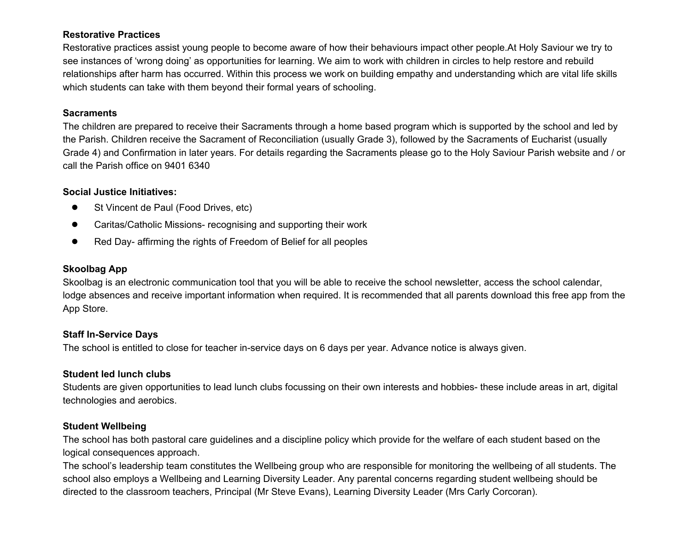## **Restorative Practices**

Restorative practices assist young people to become aware of how their behaviours impact other people.At Holy Saviour we try to see instances of 'wrong doing' as opportunities for learning. We aim to work with children in circles to help restore and rebuild relationships after harm has occurred. Within this process we work on building empathy and understanding which are vital life skills which students can take with them beyond their formal years of schooling.

#### **Sacraments**

The children are prepared to receive their Sacraments through a home based program which is supported by the school and led by the Parish. Children receive the Sacrament of Reconciliation (usually Grade 3), followed by the Sacraments of Eucharist (usually Grade 4) and Confirmation in later years. For details regarding the Sacraments please go to the Holy Saviour Parish website and / or call the Parish office on 9401 6340

### **Social Justice Initiatives:**

- St Vincent de Paul (Food Drives, etc)
- Caritas/Catholic Missions- recognising and supporting their work
- Red Day- affirming the rights of Freedom of Belief for all peoples

### **Skoolbag App**

Skoolbag is an electronic communication tool that you will be able to receive the school newsletter, access the school calendar, lodge absences and receive important information when required. It is recommended that all parents download this free app from the App Store.

### **Staff In-Service Days**

The school is entitled to close for teacher in-service days on 6 days per year. Advance notice is always given.

### **Student led lunch clubs**

Students are given opportunities to lead lunch clubs focussing on their own interests and hobbies- these include areas in art, digital technologies and aerobics.

### **Student Wellbeing**

The school has both pastoral care guidelines and a discipline policy which provide for the welfare of each student based on the logical consequences approach.

The school's leadership team constitutes the Wellbeing group who are responsible for monitoring the wellbeing of all students. The school also employs a Wellbeing and Learning Diversity Leader. Any parental concerns regarding student wellbeing should be directed to the classroom teachers, Principal (Mr Steve Evans), Learning Diversity Leader (Mrs Carly Corcoran).